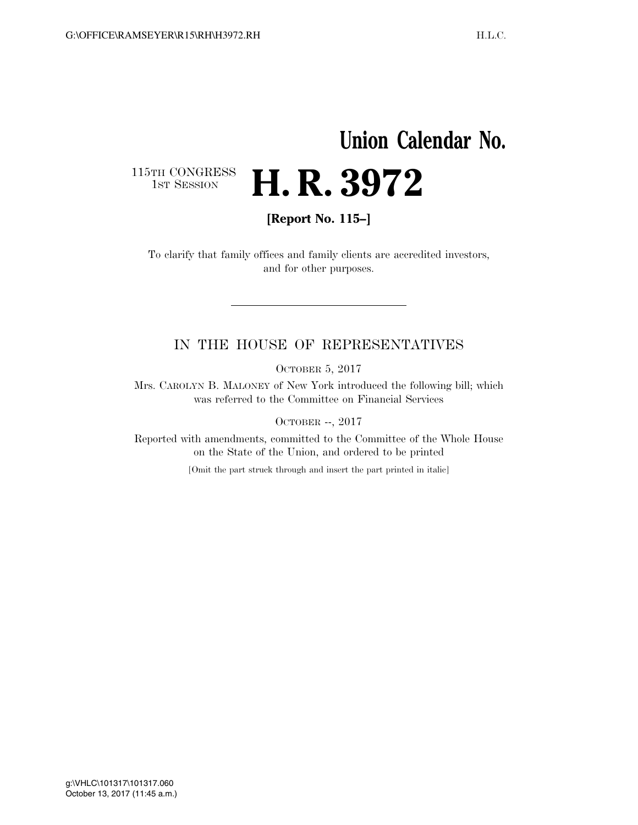# **Union Calendar No.**  H. R. 3972

115TH CONGRESS<br>1st Session

**[Report No. 115–]** 

To clarify that family offices and family clients are accredited investors, and for other purposes.

### IN THE HOUSE OF REPRESENTATIVES

OCTOBER 5, 2017

Mrs. CAROLYN B. MALONEY of New York introduced the following bill; which was referred to the Committee on Financial Services

OCTOBER --, 2017

Reported with amendments, committed to the Committee of the Whole House on the State of the Union, and ordered to be printed

[Omit the part struck through and insert the part printed in italic]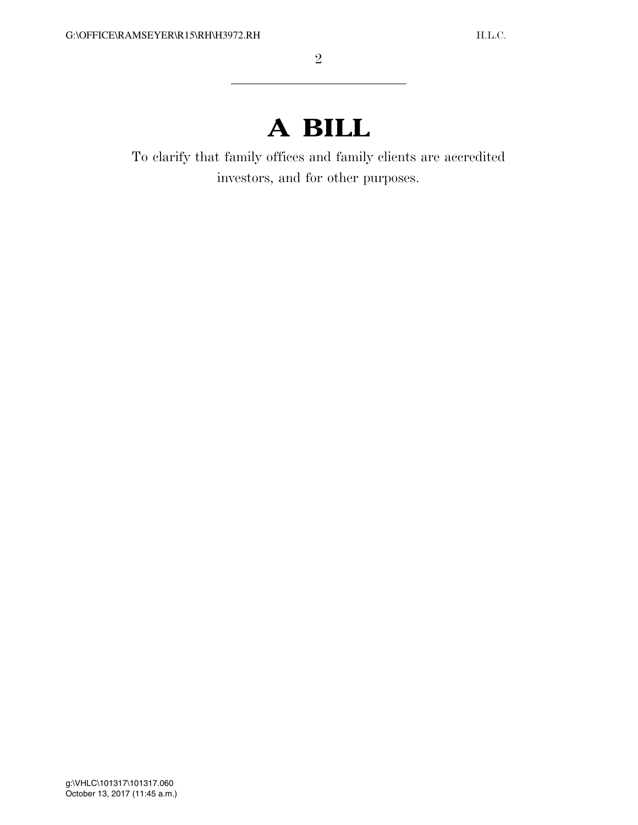## **A BILL**

To clarify that family offices and family clients are accredited investors, and for other purposes.